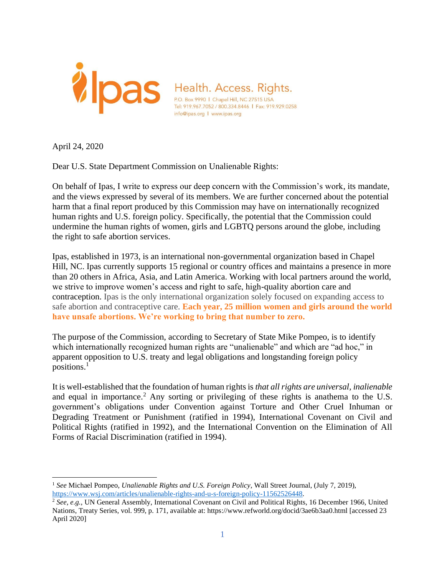

April 24, 2020

Dear U.S. State Department Commission on Unalienable Rights:

 human rights and U.S. foreign policy. Specifically, the potential that the Commission could On behalf of Ipas, I write to express our deep concern with the Commission's work, its mandate, and the views expressed by several of its members. We are further concerned about the potential harm that a final report produced by this Commission may have on internationally recognized undermine the human rights of women, girls and LGBTQ persons around the globe, including the right to safe abortion services.

Ipas, established in 1973, is an international non-governmental organization based in Chapel Hill, NC. Ipas currently supports 15 regional or country offices and maintains a presence in more than 20 others in Africa, Asia, and Latin America. Working with local partners around the world, we strive to improve women's access and right to safe, high-quality abortion care and contraception. Ipas is the only international organization solely focused on expanding access to safe abortion and contraceptive care. **Each year, 25 million women and girls around the world have unsafe abortions. We're working to bring that number to zero.**

The purpose of the Commission, according to Secretary of State Mike Pompeo, is to identify which internationally recognized human rights are "unalienable" and which are "ad hoc," in apparent opposition to U.S. treaty and legal obligations and longstanding foreign policy positions.<sup>1</sup>

 It is well-established that the foundation of human rights is *that all rights are universal, inalienable*  and equal in importance.<sup>2</sup> Any sorting or privileging of these rights is anathema to the U.S. government's obligations under Convention against Torture and Other Cruel Inhuman or Degrading Treatment or Punishment (ratified in 1994), International Covenant on Civil and Political Rights (ratified in 1992), and the International Convention on the Elimination of All Forms of Racial Discrimination (ratified in 1994).

<sup>1</sup>*See* Michael Pompeo, *Unalienable Rights and U.S. Foreign Policy*, Wall Street Journal, (July 7, 2019), https://www.wsj.com/articles/unalienable-rights-and-u-s-foreign-policy-11562526448.<br><sup>2</sup> *See, e.g.*, UN General Assembly, International Covenant on Civil and Political Rights, 16 December 1966, United

Nations, Treaty Series, vol. 999, p. 171, available at: https://www.refworld.org/docid/3ae6b3aa0.html [accessed 23 April 2020]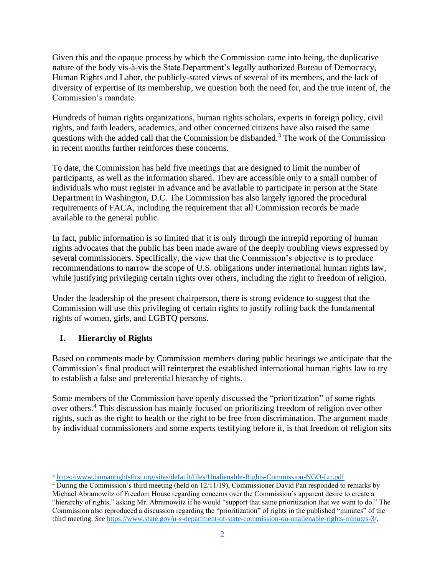Given this and the opaque process by which the Commission came into being, the duplicative nature of the body vis-à-vis the State Department's legally authorized Bureau of Democracy, Human Rights and Labor, the publicly-stated views of several of its members, and the lack of diversity of expertise of its membership, we question both the need for, and the true intent of, the Commission's mandate.

questions with the added call that the Commission be disbanded.<sup>3</sup> The work of the Commission Hundreds of human rights organizations, human rights scholars, experts in foreign policy, civil rights, and faith leaders, academics, and other concerned citizens have also raised the same in recent months further reinforces these concerns.

 To date, the Commission has held five meetings that are designed to limit the number of individuals who must register in advance and be available to participate in person at the State requirements of FACA, including the requirement that all Commission records be made participants, as well as the information shared. They are accessible only to a small number of Department in Washington, D.C. The Commission has also largely ignored the procedural available to the general public.

In fact, public information is so limited that it is only through the intrepid reporting of human rights advocates that the public has been made aware of the deeply troubling views expressed by several commissioners. Specifically, the view that the Commission's objective is to produce recommendations to narrow the scope of U.S. obligations under international human rights law, while justifying privileging certain rights over others, including the right to freedom of religion.

 Under the leadership of the present chairperson, there is strong evidence to suggest that the Commission will use this privileging of certain rights to justify rolling back the fundamental rights of women, girls, and LGBTQ persons.

# **I. Hierarchy of Rights**

 Based on comments made by Commission members during public hearings we anticipate that the Commission's final product will reinterpret the established international human rights law to try to establish a false and preferential hierarchy of rights.

Some members of the Commission have openly discussed the "prioritization" of some rights over others.4 This discussion has mainly focused on prioritizing freedom of religion over other rights, such as the right to health or the right to be free from discrimination. The argument made by individual commissioners and some experts testifying before it, is that freedom of religion sits

<sup>&</sup>lt;sup>3</sup> https://www.humanrightsfirst.org/sites/default/files/Unalienable-Rights-Commission-NGO-Ltr.pdf 4 During the Commission's third meeting (held on 12/11/19), Commissioner David Pan responded to remarks by Michael Abramowitz of Freedom House regarding concerns over the Commission's apparent desire to create a "hierarchy of rights," asking Mr. Abramowitz if he would "support that same prioritization that we want to do." The Commission also reproduced a discussion regarding the "prioritization" of rights in the published "minutes" of the third meeting. *See* https://www.state.gov/u-s-department-of-state-commission-on-unalienable-rights-minutes-3/.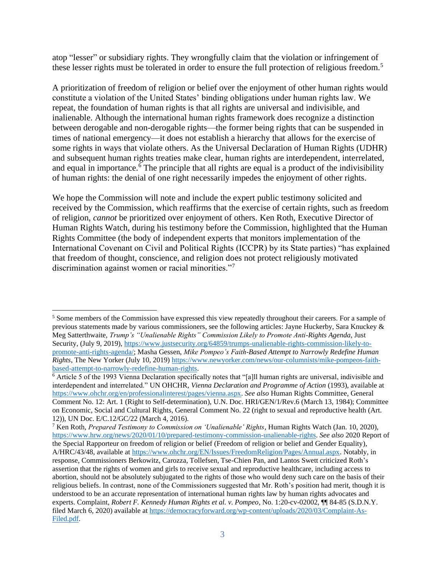atop "lesser" or subsidiary rights. They wrongfully claim that the violation or infringement of these lesser rights must be tolerated in order to ensure the full protection of religious freedom.<sup>5</sup>

A prioritization of freedom of religion or belief over the enjoyment of other human rights would constitute a violation of the United States' binding obligations under human rights law. We repeat, the foundation of human rights is that all rights are universal and indivisible, and inalienable. Although the international human rights framework does recognize a distinction between derogable and non-derogable rights—the former being rights that can be suspended in times of national emergency—it does not establish a hierarchy that allows for the exercise of some rights in ways that violate others. As the Universal Declaration of Human Rights (UDHR) and subsequent human rights treaties make clear, human rights are interdependent, interrelated, and equal in importance.<sup> $\vec{\delta}$ </sup> The principle that all rights are equal is a product of the indivisibility of human rights: the denial of one right necessarily impedes the enjoyment of other rights.

We hope the Commission will note and include the expert public testimony solicited and received by the Commission, which reaffirms that the exercise of certain rights, such as freedom of religion, *cannot* be prioritized over enjoyment of others. Ken Roth, Executive Director of Human Rights Watch, during his testimony before the Commission, highlighted that the Human Rights Committee (the body of independent experts that monitors implementation of the International Covenant on Civil and Political Rights (ICCPR) by its State parties) "has explained that freedom of thought, conscience, and religion does not protect religiously motivated discrimination against women or racial minorities."<sup>7</sup>

<sup>5</sup> Some members of the Commission have expressed this view repeatedly throughout their careers. For a sample of previous statements made by various commissioners, see the following articles: Jayne Huckerby, Sara Knuckey & Meg Satterthwaite, *Trump's "Unalienable Rights" Commission Likely to Promote Anti-Rights Agenda*, Just Security, (July 9, 2019), https://www.justsecurity.org/64859/trumps-unalienable-rights-commission-likely-topromote-anti-rights-agenda/; Masha Gessen, *Mike Pompeo's Faith-Based Attempt to Narrowly Redefine Human Rights*, The New Yorker (July 10, 2019) https://www.newyorker.com/news/our-columnists/mike-pompeos-faithbased-attempt-to-narrowly-redefine-human-rights. 6 Article 5 of the 1993 Vienna Declaration specifically notes that "[a]ll human rights are universal, indivisible and

interdependent and interrelated." UN OHCHR, *Vienna Declaration and Programme of Action* (1993), available at https://www.ohchr.org/en/professionalinterest/pages/vienna.aspx. *See also* Human Rights Committee, General Comment No. 12: Art. 1 (Right to Self-determination), U.N. Doc. HRI/GEN/1/Rev.6 (March 13, 1984); Committee on Economic, Social and Cultural Rights, General Comment No. 22 (right to sexual and reproductive health (Art. 12)), UN Doc. E/C.12/GC/22 (March 4, 2016). 7 Ken Roth, *Prepared Testimony to Commission on 'Unalienable' Rights*, Human Rights Watch (Jan. 10, 2020),

https://www.hrw.org/news/2020/01/10/prepared-testimony-commission-unalienable-rights. *See also* 2020 Report of the Special Rapporteur on freedom of religion or belief (Freedom of religion or belief and Gender Equality), A/HRC/43/48, available at https://www.ohchr.org/EN/Issues/FreedomReligion/Pages/Annual.aspx. Notably, in response, Commissioners Berkowitz, Carozza, Tollefsen, Tse-Chien Pan, and Lantos Swett criticized Roth's assertion that the rights of women and girls to receive sexual and reproductive healthcare, including access to abortion, should not be absolutely subjugated to the rights of those who would deny such care on the basis of their religious beliefs. In contrast, none of the Commissioners suggested that Mr. Roth's position had merit, though it is understood to be an accurate representation of international human rights law by human rights advocates and experts. Complaint, *Robert F. Kennedy Human Rights et al. v. Pompeo*, No. 1:20-cv-02002, ¶¶ 84-85 (S.D.N.Y. filed March 6, 2020) available at https://democracyforward.org/wp-content/uploads/2020/03/Complaint-As-Filed.pdf.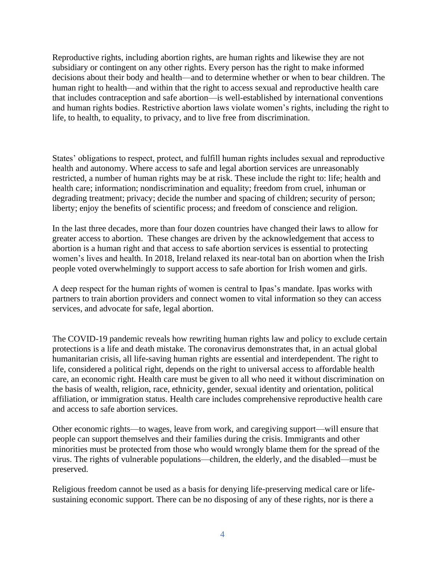Reproductive rights, including abortion rights, are human rights and likewise they are not subsidiary or contingent on any other rights. Every person has the right to make informed decisions about their body and health—and to determine whether or when to bear children. The human right to health—and within that the right to access sexual and reproductive health care that includes contraception and safe abortion—is well-established by international conventions and human rights bodies. Restrictive abortion laws violate women's rights, including the right to life, to health, to equality, to privacy, and to live free from discrimination.

States' obligations to respect, protect, and fulfill human rights includes sexual and reproductive health and autonomy. Where access to safe and legal abortion services are unreasonably restricted, a number of human rights may be at risk. These include the right to: life; health and health care; information; nondiscrimination and equality; freedom from cruel, inhuman or degrading treatment; privacy; decide the number and spacing of children; security of person; liberty; enjoy the benefits of scientific process; and freedom of conscience and religion.

In the last three decades, more than four dozen countries have changed their laws to allow for greater access to abortion. These changes are driven by the acknowledgement that access to abortion is a human right and that access to safe abortion services is essential to protecting women's lives and health. In 2018, Ireland relaxed its near-total ban on abortion when the Irish people voted overwhelmingly to support access to safe abortion for Irish women and girls.

A deep respect for the human rights of women is central to Ipas's mandate. Ipas works with partners to train abortion providers and connect women to vital information so they can access services, and advocate for safe, legal abortion.

 humanitarian crisis, all life-saving human rights are essential and interdependent. The right to The COVID-19 pandemic reveals how rewriting human rights law and policy to exclude certain protections is a life and death mistake. The coronavirus demonstrates that, in an actual global life, considered a political right, depends on the right to universal access to affordable health care, an economic right. Health care must be given to all who need it without discrimination on the basis of wealth, religion, race, ethnicity, gender, sexual identity and orientation, political affiliation, or immigration status. Health care includes comprehensive reproductive health care and access to safe abortion services.

Other economic rights—to wages, leave from work, and caregiving support—will ensure that people can support themselves and their families during the crisis. Immigrants and other minorities must be protected from those who would wrongly blame them for the spread of the virus. The rights of vulnerable populations—children, the elderly, and the disabled—must be preserved.

Religious freedom cannot be used as a basis for denying life-preserving medical care or lifesustaining economic support. There can be no disposing of any of these rights, nor is there a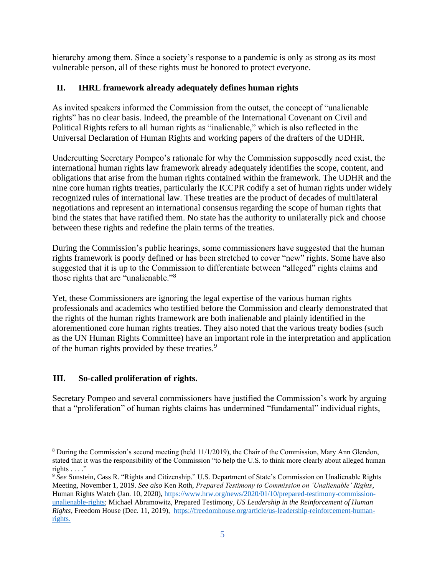hierarchy among them. Since a society's response to a pandemic is only as strong as its most vulnerable person, all of these rights must be honored to protect everyone.

## **II. IHRL framework already adequately defines human rights**

As invited speakers informed the Commission from the outset, the concept of "unalienable rights" has no clear basis. Indeed, the preamble of the International Covenant on Civil and Political Rights refers to all human rights as "inalienable," which is also reflected in the Universal Declaration of Human Rights and working papers of the drafters of the UDHR.

 obligations that arise from the human rights contained within the framework. The UDHR and the recognized rules of international law. These treaties are the product of decades of multilateral Undercutting Secretary Pompeo's rationale for why the Commission supposedly need exist, the international human rights law framework already adequately identifies the scope, content, and nine core human rights treaties, particularly the ICCPR codify a set of human rights under widely negotiations and represent an international consensus regarding the scope of human rights that bind the states that have ratified them. No state has the authority to unilaterally pick and choose between these rights and redefine the plain terms of the treaties.

During the Commission's public hearings, some commissioners have suggested that the human rights framework is poorly defined or has been stretched to cover "new" rights. Some have also suggested that it is up to the Commission to differentiate between "alleged" rights claims and those rights that are "unalienable."<sup>8</sup>

of the human rights provided by these treaties.<sup>9</sup> Yet, these Commissioners are ignoring the legal expertise of the various human rights professionals and academics who testified before the Commission and clearly demonstrated that the rights of the human rights framework are both inalienable and plainly identified in the aforementioned core human rights treaties. They also noted that the various treaty bodies (such as the UN Human Rights Committee) have an important role in the interpretation and application

### **III. So-called proliferation of rights.**

Secretary Pompeo and several commissioners have justified the Commission's work by arguing that a "proliferation" of human rights claims has undermined "fundamental" individual rights,

<sup>8</sup> During the Commission's second meeting (held 11/1/2019), the Chair of the Commission, Mary Ann Glendon, stated that it was the responsibility of the Commission "to help the U.S. to think more clearly about alleged human rights  $\ldots$  ."

 <sup>9</sup>*See* Sunstein, Cass R. "Rights and Citizenship." U.S. Department of State's Commission on Unalienable Rights Meeting, November 1, 2019. *See also* Ken Roth, *Prepared Testimony to Commission on 'Unalienable' Rights*, Human Rights Watch (Jan. 10, 2020), https://www.hrw.org/news/2020/01/10/prepared-testimony-commissionunalienable-rights; Michael Abramowitz, Prepared Testimony, *US Leadership in the Reinforcement of Human Rights*, Freedom House (Dec. 11, 2019), https://freedomhouse.org/article/us-leadership-reinforcement-humanrights.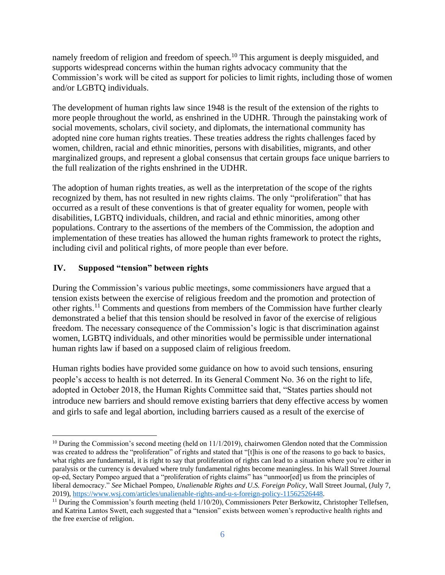namely freedom of religion and freedom of speech.<sup>10</sup> This argument is deeply misguided, and supports widespread concerns within the human rights advocacy community that the Commission's work will be cited as support for policies to limit rights, including those of women and/or LGBTQ individuals.

The development of human rights law since 1948 is the result of the extension of the rights to more people throughout the world, as enshrined in the UDHR. Through the painstaking work of social movements, scholars, civil society, and diplomats, the international community has adopted nine core human rights treaties. These treaties address the rights challenges faced by women, children, racial and ethnic minorities, persons with disabilities, migrants, and other marginalized groups, and represent a global consensus that certain groups face unique barriers to the full realization of the rights enshrined in the UDHR.

 disabilities, LGBTQ individuals, children, and racial and ethnic minorities, among other The adoption of human rights treaties, as well as the interpretation of the scope of the rights recognized by them, has not resulted in new rights claims. The only "proliferation" that has occurred as a result of these conventions is that of greater equality for women, people with populations. Contrary to the assertions of the members of the Commission, the adoption and implementation of these treaties has allowed the human rights framework to protect the rights, including civil and political rights, of more people than ever before.

## **IV. Supposed "tension" between rights**

During the Commission's various public meetings, some commissioners have argued that a tension exists between the exercise of religious freedom and the promotion and protection of other rights.11 Comments and questions from members of the Commission have further clearly demonstrated a belief that this tension should be resolved in favor of the exercise of religious freedom. The necessary consequence of the Commission's logic is that discrimination against women, LGBTQ individuals, and other minorities would be permissible under international human rights law if based on a supposed claim of religious freedom.

Human rights bodies have provided some guidance on how to avoid such tensions, ensuring people's access to health is not deterred. In its General Comment No. 36 on the right to life, adopted in October 2018, the Human Rights Committee said that, "States parties should not introduce new barriers and should remove existing barriers that deny effective access by women and girls to safe and legal abortion, including barriers caused as a result of the exercise of

 $10$  During the Commission's second meeting (held on 11/1/2019), chairwomen Glendon noted that the Commission was created to address the "proliferation" of rights and stated that "[t]his is one of the reasons to go back to basics, what rights are fundamental, it is right to say that proliferation of rights can lead to a situation where you're either in paralysis or the currency is devalued where truly fundamental rights become meaningless. In his Wall Street Journal op-ed, Sectary Pompeo argued that a "proliferation of rights claims" has "unmoor[ed] us from the principles of liberal democracy." *See* Michael Pompeo, *Unalienable Rights and U.S. Foreign Policy*, Wall Street Journal, (July 7, 2019), https://www.wsj.com/articles/unalienable-rights-and-u-s-foreign-policy-11562526448.<br><sup>11</sup> During the Commission's fourth meeting (held 1/10/20), Commissioners Peter Berkowitz, Christopher Tellefsen,

and Katrina Lantos Swett, each suggested that a "tension" exists between women's reproductive health rights and the free exercise of religion.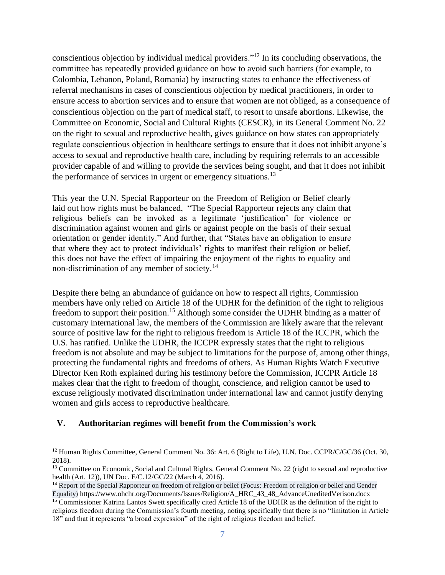on the right to sexual and reproductive health, gives guidance on how states can appropriately regulate conscientious objection in healthcare settings to ensure that it does not inhibit anyone's conscientious objection by individual medical providers."12 In its concluding observations, the committee has repeatedly provided guidance on how to avoid such barriers (for example, to Colombia, Lebanon, Poland, Romania) by instructing states to enhance the effectiveness of referral mechanisms in cases of conscientious objection by medical practitioners, in order to ensure access to abortion services and to ensure that women are not obliged, as a consequence of conscientious objection on the part of medical staff, to resort to unsafe abortions. Likewise, the Committee on Economic, Social and Cultural Rights (CESCR), in its General Comment No. 22 access to sexual and reproductive health care, including by requiring referrals to an accessible provider capable of and willing to provide the services being sought, and that it does not inhibit the performance of services in urgent or emergency situations. $13$ 

 This year the U.N. Special Rapporteur on the Freedom of Religion or Belief clearly laid out how rights must be balanced, "The Special Rapporteur rejects any claim that religious beliefs can be invoked as a legitimate 'justification' for violence or discrimination against women and girls or against people on the basis of their sexual orientation or gender identity." And further, that "States have an obligation to ensure that where they act to protect individuals' rights to manifest their religion or belief, this does not have the effect of impairing the enjoyment of the rights to equality and non-discrimination of any member of society.<sup>14</sup>

 customary international law, the members of the Commission are likely aware that the relevant Despite there being an abundance of guidance on how to respect all rights, Commission members have only relied on Article 18 of the UDHR for the definition of the right to religious freedom to support their position.<sup>15</sup> Although some consider the UDHR binding as a matter of source of positive law for the right to religious freedom is Article 18 of the ICCPR, which the U.S. has ratified. Unlike the UDHR, the ICCPR expressly states that the right to religious freedom is not absolute and may be subject to limitations for the purpose of, among other things, protecting the fundamental rights and freedoms of others. As Human Rights Watch Executive Director Ken Roth explained during his testimony before the Commission, ICCPR Article 18 makes clear that the right to freedom of thought, conscience, and religion cannot be used to excuse religiously motivated discrimination under international law and cannot justify denying women and girls access to reproductive healthcare.

#### **V. Authoritarian regimes will benefit from the Commission's work**

<sup>&</sup>lt;sup>12</sup> Human Rights Committee, General Comment No. 36: Art. 6 (Right to Life), U.N. Doc. CCPR/C/GC/36 (Oct. 30, 2018).

health (Art. 12)), UN Doc. E/C.12/GC/22 (March 4, 2016).<br><sup>14</sup> Report of the Special Rapporteur on freedom of religion or belief (Focus: Freedom of religion or belief and Gender <sup>13</sup> Committee on Economic, Social and Cultural Rights, General Comment No. 22 (right to sexual and reproductive

Equality) https://www.ohchr.org/Documents/Issues/Religion/A\_HRC\_43\_48\_AdvanceUneditedVerison.docx 15 Commissioner Katrina Lantos Swett specifically cited Article 18 of the UDHR as the definition of the right to religious freedom during the Commission's fourth meeting, noting specifically that there is no "limitation in Article 18" and that it represents "a broad expression" of the right of religious freedom and belief.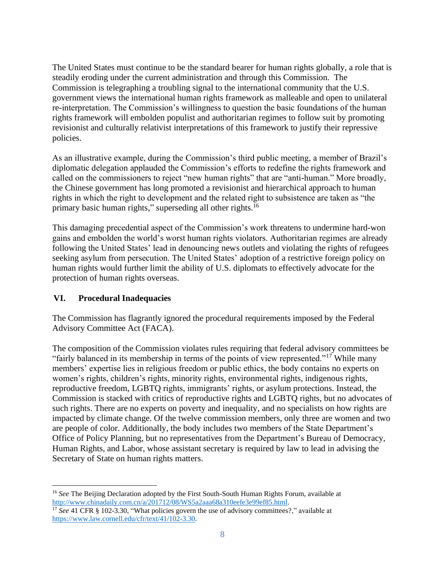The United States must continue to be the standard bearer for human rights globally, a role that is steadily eroding under the current administration and through this Commission. The Commission is telegraphing a troubling signal to the international community that the U.S. government views the international human rights framework as malleable and open to unilateral re-interpretation. The Commission's willingness to question the basic foundations of the human rights framework will embolden populist and authoritarian regimes to follow suit by promoting revisionist and culturally relativist interpretations of this framework to justify their repressive policies.

As an illustrative example, during the Commission's third public meeting, a member of Brazil's diplomatic delegation applauded the Commission's efforts to redefine the rights framework and called on the commissioners to reject "new human rights" that are "anti-human." More broadly, the Chinese government has long promoted a revisionist and hierarchical approach to human rights in which the right to development and the related right to subsistence are taken as "the primary basic human rights," superseding all other rights.<sup>16</sup>

This damaging precedential aspect of the Commission's work threatens to undermine hard-won gains and embolden the world's worst human rights violators. Authoritarian regimes are already following the United States' lead in denouncing news outlets and violating the rights of refugees seeking asylum from persecution. The United States' adoption of a restrictive foreign policy on human rights would further limit the ability of U.S. diplomats to effectively advocate for the protection of human rights overseas.

### **VI. Procedural Inadequacies**

The Commission has flagrantly ignored the procedural requirements imposed by the Federal Advisory Committee Act (FACA).

The composition of the Commission violates rules requiring that federal advisory committees be "fairly balanced in its membership in terms of the points of view represented."<sup>17</sup> While many members' expertise lies in religious freedom or public ethics, the body contains no experts on women's rights, children's rights, minority rights, environmental rights, indigenous rights, reproductive freedom, LGBTQ rights, immigrants' rights, or asylum protections. Instead, the Commission is stacked with critics of reproductive rights and LGBTQ rights, but no advocates of such rights. There are no experts on poverty and inequality, and no specialists on how rights are impacted by climate change. Of the twelve commission members, only three are women and two are people of color. Additionally, the body includes two members of the State Department's Office of Policy Planning, but no representatives from the Department's Bureau of Democracy, Human Rights, and Labor, whose assistant secretary is required by law to lead in advising the Secretary of State on human rights matters.

<sup>&</sup>lt;sup>16</sup> See The Beijing Declaration adopted by the First South-South Human Rights Forum, available at http://www.chinadaily.com.cn/a/201712/08/WS5a2aaa68a310eefe3e99ef85.html. 17 *See* 41 CFR § 102-3.30, "What policies govern the use of advisory committees?," available at

https://www.law.cornell.edu/cfr/text/41/102-3.30.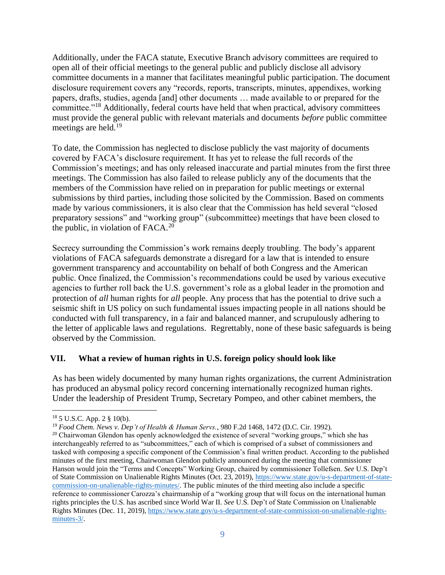Additionally, under the FACA statute, Executive Branch advisory committees are required to open all of their official meetings to the general public and publicly disclose all advisory committee documents in a manner that facilitates meaningful public participation. The document disclosure requirement covers any "records, reports, transcripts, minutes, appendixes, working papers, drafts, studies, agenda [and] other documents … made available to or prepared for the committee."18 Additionally, federal courts have held that when practical, advisory committees must provide the general public with relevant materials and documents *before* public committee meetings are held.<sup>19</sup>

 meetings. The Commission has also failed to release publicly any of the documents that the To date, the Commission has neglected to disclose publicly the vast majority of documents covered by FACA's disclosure requirement. It has yet to release the full records of the Commission's meetings; and has only released inaccurate and partial minutes from the first three members of the Commission have relied on in preparation for public meetings or external submissions by third parties, including those solicited by the Commission. Based on comments made by various commissioners, it is also clear that the Commission has held several "closed preparatory sessions" and "working group" (subcommittee) meetings that have been closed to the public, in violation of  $FACA<sup>20</sup>$ 

Secrecy surrounding the Commission's work remains deeply troubling. The body's apparent violations of FACA safeguards demonstrate a disregard for a law that is intended to ensure government transparency and accountability on behalf of both Congress and the American public. Once finalized, the Commission's recommendations could be used by various executive agencies to further roll back the U.S. government's role as a global leader in the promotion and protection of *all* human rights for *all* people. Any process that has the potential to drive such a seismic shift in US policy on such fundamental issues impacting people in all nations should be conducted with full transparency, in a fair and balanced manner, and scrupulously adhering to the letter of applicable laws and regulations. Regrettably, none of these basic safeguards is being observed by the Commission.

#### **VII. What a review of human rights in U.S. foreign policy should look like**

As has been widely documented by many human rights organizations, the current Administration has produced an abysmal policy record concerning internationally recognized human rights. Under the leadership of President Trump, Secretary Pompeo, and other cabinet members, the

<sup>&</sup>lt;sup>18</sup> 5 U.S.C. App. 2 § 10(b).<br><sup>19</sup> *Food Chem. News v. Dep't of Health & Human Servs.*, 980 F.2d 1468, 1472 (D.C. Cir. 1992).<br><sup>20</sup> Chairwoman Glendon has openly acknowledged the existence of several "working groups," whic interchangeably referred to as "subcommittees," each of which is comprised of a subset of commissioners and tasked with composing a specific component of the Commission's final written product. According to the published minutes of the first meeting, Chairwoman Glendon publicly announced during the meeting that commissioner Hanson would join the "Terms and Concepts" Working Group, chaired by commissioner Tollefsen. *See* U.S. Dep't of State Commission on Unalienable Rights Minutes (Oct. 23, 2019), https://www.state.gov/u-s-department-of-statecommission-on-unalienable-rights-minutes/. The public minutes of the third meeting also include a specific reference to commissioner Carozza's chairmanship of a "working group that will focus on the international human rights principles the U.S. has ascribed since World War II. *See* U.S. Dep't of State Commission on Unalienable Rights Minutes (Dec. 11, 2019), https://www.state.gov/u-s-department-of-state-commission-on-unalienable-rightsminutes-3/.